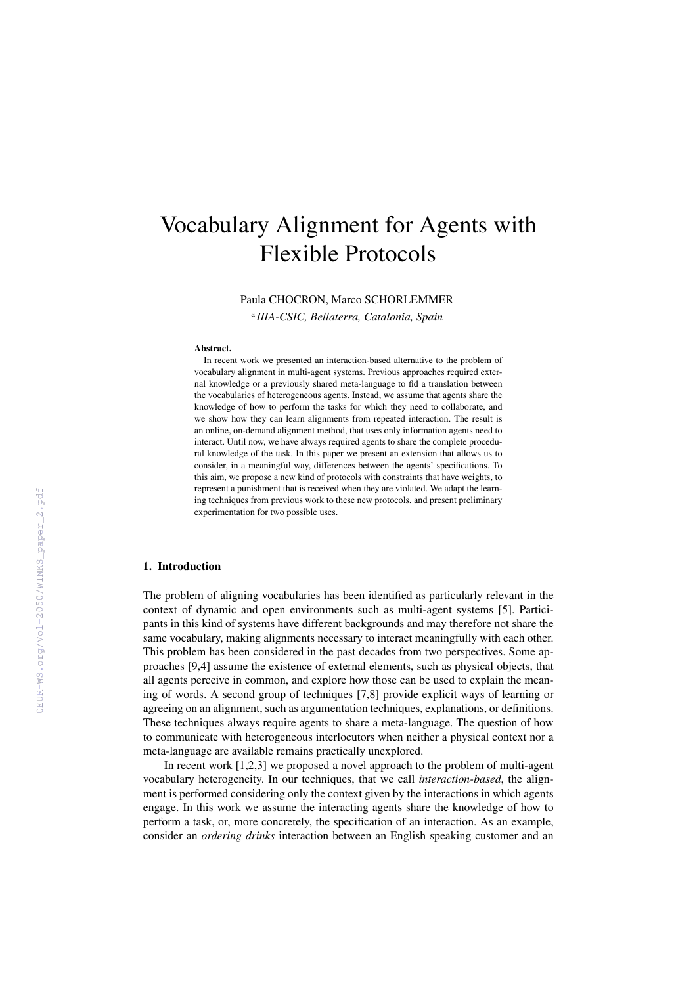# Vocabulary Alignment for Agents with Flexible Protocols

Paula CHOCRON, Marco SCHORLEMMER

a *IIIA-CSIC, Bellaterra, Catalonia, Spain*

#### Abstract.

In recent work we presented an interaction-based alternative to the problem of vocabulary alignment in multi-agent systems. Previous approaches required external knowledge or a previously shared meta-language to fid a translation between the vocabularies of heterogeneous agents. Instead, we assume that agents share the knowledge of how to perform the tasks for which they need to collaborate, and we show how they can learn alignments from repeated interaction. The result is an online, on-demand alignment method, that uses only information agents need to interact. Until now, we have always required agents to share the complete procedural knowledge of the task. In this paper we present an extension that allows us to consider, in a meaningful way, differences between the agents' specifications. To this aim, we propose a new kind of protocols with constraints that have weights, to represent a punishment that is received when they are violated. We adapt the learning techniques from previous work to these new protocols, and present preliminary experimentation for two possible uses.

## 1. Introduction

The problem of aligning vocabularies has been identified as particularly relevant in the context of dynamic and open environments such as multi-agent systems [5]. Participants in this kind of systems have different backgrounds and may therefore not share the same vocabulary, making alignments necessary to interact meaningfully with each other. This problem has been considered in the past decades from two perspectives. Some approaches [9,4] assume the existence of external elements, such as physical objects, that all agents perceive in common, and explore how those can be used to explain the meaning of words. A second group of techniques [7,8] provide explicit ways of learning or agreeing on an alignment, such as argumentation techniques, explanations, or definitions. These techniques always require agents to share a meta-language. The question of how to communicate with heterogeneous interlocutors when neither a physical context nor a meta-language are available remains practically unexplored.

In recent work [1,2,3] we proposed a novel approach to the problem of multi-agent vocabulary heterogeneity. In our techniques, that we call *interaction-based*, the alignment is performed considering only the context given by the interactions in which agents engage. In this work we assume the interacting agents share the knowledge of how to perform a task, or, more concretely, the specification of an interaction. As an example, consider an *ordering drinks* interaction between an English speaking customer and an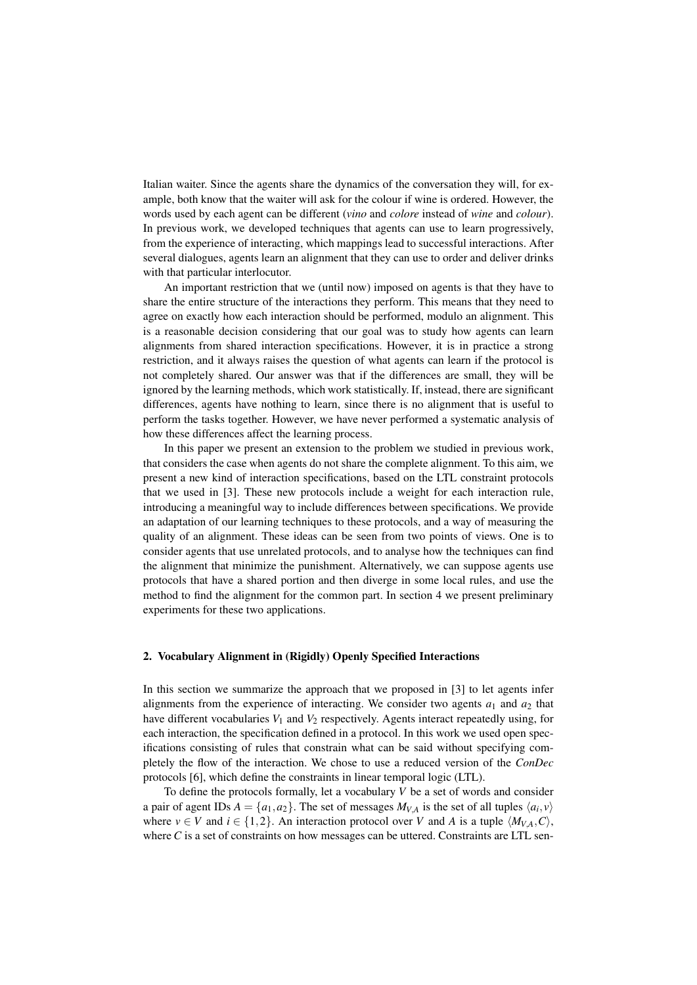Italian waiter. Since the agents share the dynamics of the conversation they will, for example, both know that the waiter will ask for the colour if wine is ordered. However, the words used by each agent can be different (*vino* and *colore* instead of *wine* and *colour*). In previous work, we developed techniques that agents can use to learn progressively, from the experience of interacting, which mappings lead to successful interactions. After several dialogues, agents learn an alignment that they can use to order and deliver drinks with that particular interlocutor.

An important restriction that we (until now) imposed on agents is that they have to share the entire structure of the interactions they perform. This means that they need to agree on exactly how each interaction should be performed, modulo an alignment. This is a reasonable decision considering that our goal was to study how agents can learn alignments from shared interaction specifications. However, it is in practice a strong restriction, and it always raises the question of what agents can learn if the protocol is not completely shared. Our answer was that if the differences are small, they will be ignored by the learning methods, which work statistically. If, instead, there are significant differences, agents have nothing to learn, since there is no alignment that is useful to perform the tasks together. However, we have never performed a systematic analysis of how these differences affect the learning process.

In this paper we present an extension to the problem we studied in previous work, that considers the case when agents do not share the complete alignment. To this aim, we present a new kind of interaction specifications, based on the LTL constraint protocols that we used in [3]. These new protocols include a weight for each interaction rule, introducing a meaningful way to include differences between specifications. We provide an adaptation of our learning techniques to these protocols, and a way of measuring the quality of an alignment. These ideas can be seen from two points of views. One is to consider agents that use unrelated protocols, and to analyse how the techniques can find the alignment that minimize the punishment. Alternatively, we can suppose agents use protocols that have a shared portion and then diverge in some local rules, and use the method to find the alignment for the common part. In section 4 we present preliminary experiments for these two applications.

## 2. Vocabulary Alignment in (Rigidly) Openly Specified Interactions

In this section we summarize the approach that we proposed in [3] to let agents infer alignments from the experience of interacting. We consider two agents  $a_1$  and  $a_2$  that have different vocabularies  $V_1$  and  $V_2$  respectively. Agents interact repeatedly using, for each interaction, the specification defined in a protocol. In this work we used open specifications consisting of rules that constrain what can be said without specifying completely the flow of the interaction. We chose to use a reduced version of the *ConDec* protocols [6], which define the constraints in linear temporal logic (LTL).

To define the protocols formally, let a vocabulary *V* be a set of words and consider a pair of agent IDs  $A = \{a_1, a_2\}$ . The set of messages  $M_{V,A}$  is the set of all tuples  $\langle a_i, v \rangle$ where  $v \in V$  and  $i \in \{1,2\}$ . An interaction protocol over *V* and *A* is a tuple  $\langle M_{VA}, C \rangle$ , where  $C$  is a set of constraints on how messages can be uttered. Constraints are LTL sen-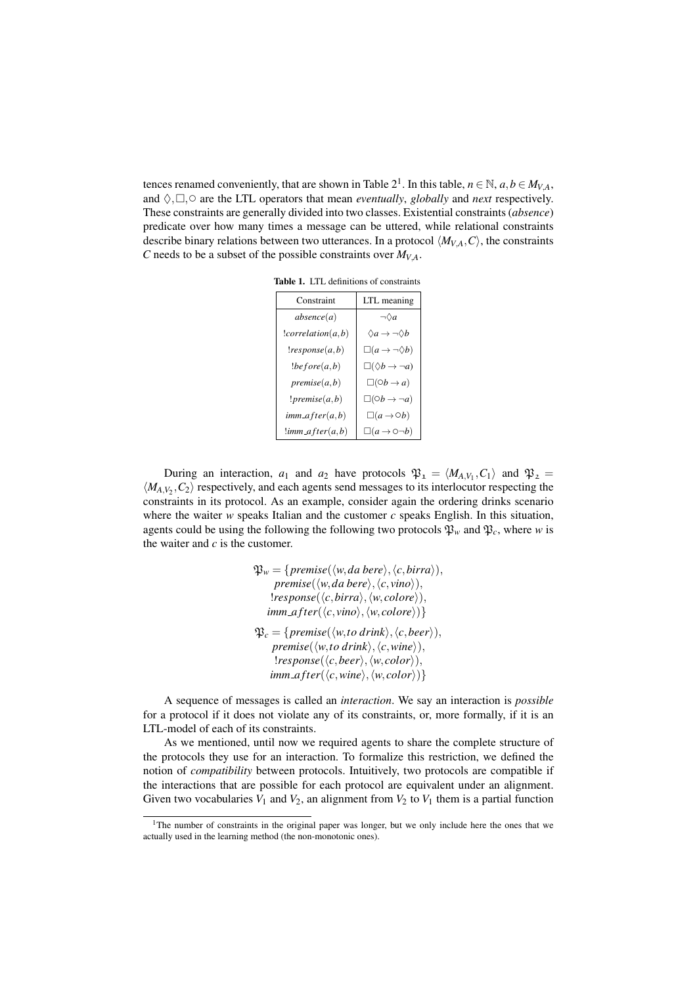tences renamed conveniently, that are shown in Table 2<sup>1</sup>. In this table,  $n \in \mathbb{N}$ ,  $a, b \in M_{V,A}$ , and  $\Diamond$ ,  $\Box$ ,  $\circ$  are the LTL operators that mean *eventually*, *globally* and *next* respectively. These constraints are generally divided into two classes. Existential constraints (*absence*) predicate over how many times a message can be uttered, while relational constraints describe binary relations between two utterances. In a protocol  $\langle M_{VA}, C \rangle$ , the constraints *C* needs to be a subset of the possible constraints over  $M_{VA}$ .

Table 1. LTL definitions of constraints

| Constraint          | LTL meaning                              |
|---------------------|------------------------------------------|
| absence(a)          | $\neg \Diamond a$                        |
| : correlation(a, b) | $\Diamond a \rightarrow \neg \Diamond b$ |
| !response(a,b)      | $\Box(a \rightarrow \neg \Diamond b)$    |
| !before(a,b)        | $\square(\Diamond b \to \neg a)$         |
| premise(a,b)        | $\Box(\bigcirc b \rightarrow a)$         |
| $!$ premise $(a,b)$ | $\square(0b \rightarrow \neg a)$         |
| $imm_{after}(a,b)$  | $\Box(a \rightarrow \bigcirc b)$         |
| $!imm_{a}fter(a,b)$ | $\Box(a \rightarrow \bigcirc \neg b)$    |

During an interaction,  $a_1$  and  $a_2$  have protocols  $\mathfrak{P}_1 = \langle M_{A,V_1}, C_1 \rangle$  and  $\mathfrak{P}_2 =$  $\langle M_{A,V_2}, C_2 \rangle$  respectively, and each agents send messages to its interlocutor respecting the constraints in its protocol. As an example, consider again the ordering drinks scenario where the waiter  $w$  speaks Italian and the customer  $c$  speaks English. In this situation, agents could be using the following the following two protocols  $\mathfrak{P}_w$  and  $\mathfrak{P}_c$ , where *w* is the waiter and *c* is the customer.

> $\mathfrak{P}_w = \{ \text{premise}(\langle w, da \text{ bere} \rangle, \langle c, \text{birra} \rangle), \}$  $premise(\langle w, da \text{ } bere \rangle, \langle c, \text{ } vino \rangle),$  $\langle \textit{response}(\langle \textit{c}, \textit{birra}\rangle, \langle \textit{w}, \textit{colore}\rangle),$  $\{imm_{\textit{a}}\text{f} \textit{ter}(\langle c, \textit{vino} \rangle, \langle \textit{w}, \textit{colore} \rangle)\}$  $\mathfrak{P}_c = \{ \text{premise}(\langle w, \text{to drink} \rangle, \langle c, \text{beer} \rangle), \}$  $premise(\langle w, to \, drink \rangle, \langle c, wine \rangle),$  $l$ *response*( $\langle c, \text{beer} \rangle, \langle w, \text{color} \rangle),$  $\{imm_{a} \text{fter}(\langle c, \text{wine}\rangle, \langle \text{w}, \text{color}\rangle)\}$

A sequence of messages is called an *interaction*. We say an interaction is *possible* for a protocol if it does not violate any of its constraints, or, more formally, if it is an LTL-model of each of its constraints.

As we mentioned, until now we required agents to share the complete structure of the protocols they use for an interaction. To formalize this restriction, we defined the notion of *compatibility* between protocols. Intuitively, two protocols are compatible if the interactions that are possible for each protocol are equivalent under an alignment. Given two vocabularies  $V_1$  and  $V_2$ , an alignment from  $V_2$  to  $V_1$  them is a partial function

<sup>&</sup>lt;sup>1</sup>The number of constraints in the original paper was longer, but we only include here the ones that we actually used in the learning method (the non-monotonic ones).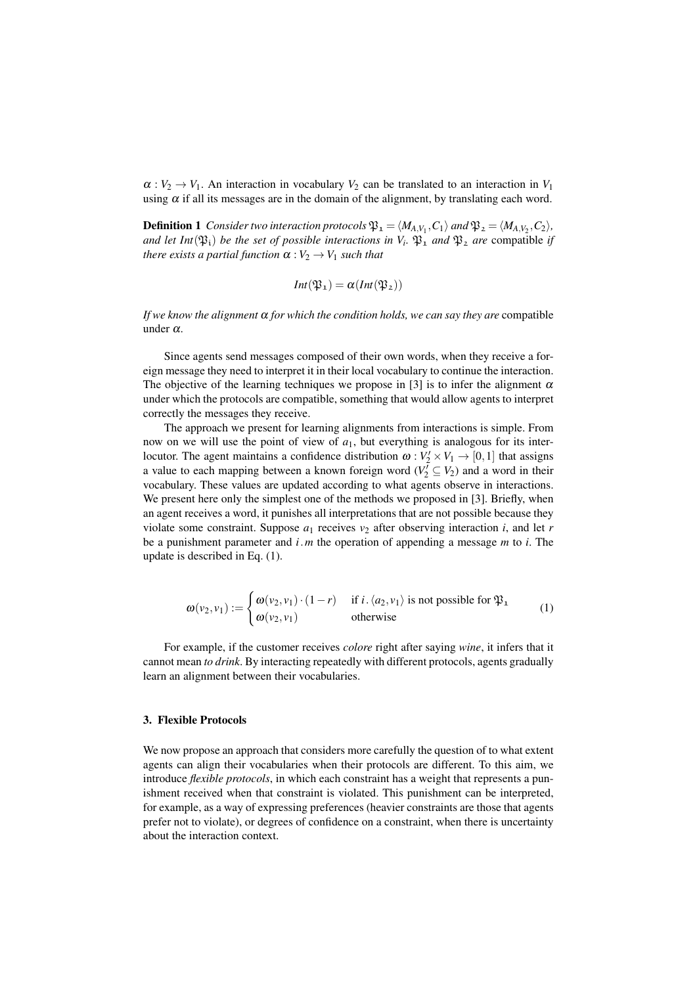$\alpha: V_2 \to V_1$ . An interaction in vocabulary  $V_2$  can be translated to an interaction in  $V_1$ using  $\alpha$  if all its messages are in the domain of the alignment, by translating each word.

**Definition 1** Consider two interaction protocols  $\mathfrak{P}_1 = \langle M_{A,V_1}, C_1 \rangle$  and  $\mathfrak{P}_2 = \langle M_{A,V_2}, C_2 \rangle$ , *and let Int*( $\mathfrak{P}_i$ ) *be the set of possible interactions in*  $V_i$ .  $\mathfrak{P}_1$  *and*  $\mathfrak{P}_2$  *are* compatible *if there exists a partial function*  $\alpha : V_2 \to V_1$  *such that* 

$$
Int(\mathfrak{P}_1)=\alpha(int(\mathfrak{P}_2))
$$

*If we know the alignment*  $\alpha$  *for which the condition holds, we can say they are* compatible under α*.*

Since agents send messages composed of their own words, when they receive a foreign message they need to interpret it in their local vocabulary to continue the interaction. The objective of the learning techniques we propose in [3] is to infer the alignment  $\alpha$ under which the protocols are compatible, something that would allow agents to interpret correctly the messages they receive.

The approach we present for learning alignments from interactions is simple. From now on we will use the point of view of *a*1, but everything is analogous for its interlocutor. The agent maintains a confidence distribution  $\omega : V_2' \times V_1 \to [0,1]$  that assigns a value to each mapping between a known foreign word  $(V_2^{\overline{I}} \subseteq V_2)$  and a word in their vocabulary. These values are updated according to what agents observe in interactions. We present here only the simplest one of the methods we proposed in [3]. Briefly, when an agent receives a word, it punishes all interpretations that are not possible because they violate some constraint. Suppose  $a_1$  receives  $v_2$  after observing interaction *i*, and let *r* be a punishment parameter and *i*.*m* the operation of appending a message *m* to *i*. The update is described in Eq. (1).

$$
\omega(v_2, v_1) := \begin{cases} \omega(v_2, v_1) \cdot (1 - r) & \text{if } i \cdot \langle a_2, v_1 \rangle \text{ is not possible for } \mathfrak{P}_1 \\ \omega(v_2, v_1) & \text{otherwise} \end{cases}
$$
 (1)

For example, if the customer receives *colore* right after saying *wine*, it infers that it cannot mean *to drink*. By interacting repeatedly with different protocols, agents gradually learn an alignment between their vocabularies.

#### 3. Flexible Protocols

We now propose an approach that considers more carefully the question of to what extent agents can align their vocabularies when their protocols are different. To this aim, we introduce *flexible protocols*, in which each constraint has a weight that represents a punishment received when that constraint is violated. This punishment can be interpreted, for example, as a way of expressing preferences (heavier constraints are those that agents prefer not to violate), or degrees of confidence on a constraint, when there is uncertainty about the interaction context.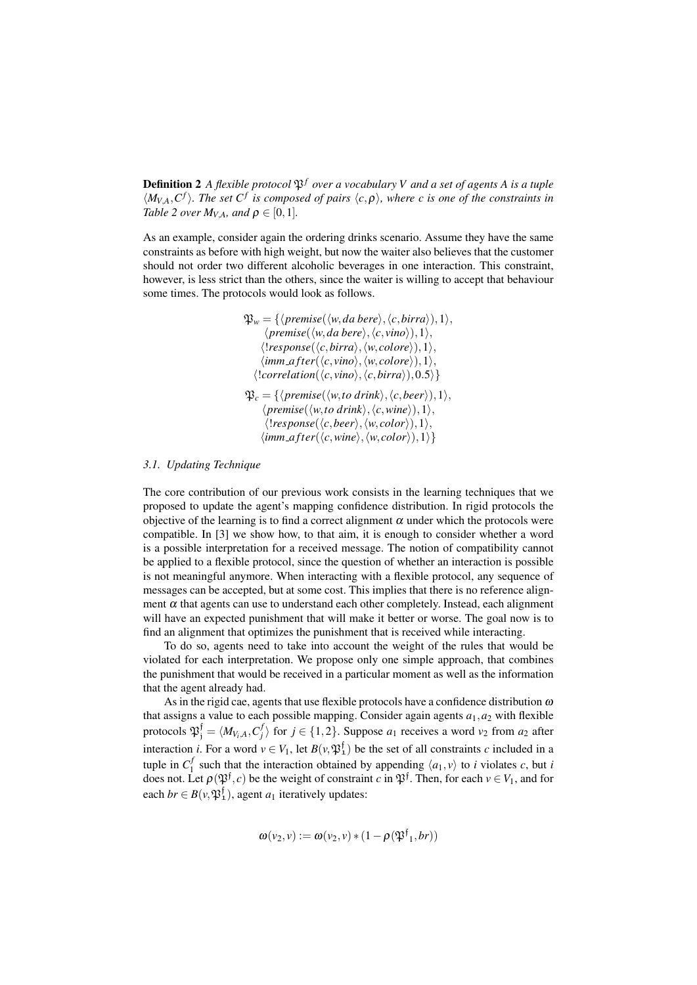**Definition 2** *A flexible protocol*  $\mathfrak{P}^f$  *over a vocabulary V and a set of agents A is a tuple*  $\langle M_{V,A}, C^f \rangle$ . The set  $C^f$  is composed of pairs  $\langle c, \rho \rangle$ , where c is one of the constraints in *Table 2 over*  $M_{VA}$ *, and*  $\rho \in [0,1]$ *.* 

As an example, consider again the ordering drinks scenario. Assume they have the same constraints as before with high weight, but now the waiter also believes that the customer should not order two different alcoholic beverages in one interaction. This constraint, however, is less strict than the others, since the waiter is willing to accept that behaviour some times. The protocols would look as follows.

$$
\mathfrak{P}_w = \{ \langle premise(\langle w, da \text{ bere}\rangle, \langle c, birra \rangle), 1 \rangle, \\ \langle premise(\langle w, da \text{ bere}\rangle, \langle c, vino \rangle), 1 \rangle, \\ \langle!response(\langle c, birra \rangle, \langle w, colore \rangle), 1 \rangle, \\ \langle imm_after(\langle c, vino \rangle, \langle w, colore \rangle), 1 \rangle, \\ \langle!correlation(\langle c, vino \rangle, \langle c, birra \rangle), 0.5 \rangle \}
$$
\n
$$
\mathfrak{P}_c = \{ \langle premise(\langle w, to \text{ drink} \rangle, \langle c, bere \rangle), 1 \rangle, \\ \langle!response(\langle w, to \text{ drink} \rangle, \langle c, wine \rangle), 1 \rangle, \\ \langle!response(\langle c, beer \rangle, \langle w, color \rangle), 1 \rangle, \\ \langle!imm_after(\langle c, wine \rangle, \langle w, color \rangle), 1 \rangle \}
$$

#### *3.1. Updating Technique*

The core contribution of our previous work consists in the learning techniques that we proposed to update the agent's mapping confidence distribution. In rigid protocols the objective of the learning is to find a correct alignment  $\alpha$  under which the protocols were compatible. In [3] we show how, to that aim, it is enough to consider whether a word is a possible interpretation for a received message. The notion of compatibility cannot be applied to a flexible protocol, since the question of whether an interaction is possible is not meaningful anymore. When interacting with a flexible protocol, any sequence of messages can be accepted, but at some cost. This implies that there is no reference alignment  $\alpha$  that agents can use to understand each other completely. Instead, each alignment will have an expected punishment that will make it better or worse. The goal now is to find an alignment that optimizes the punishment that is received while interacting.

To do so, agents need to take into account the weight of the rules that would be violated for each interpretation. We propose only one simple approach, that combines the punishment that would be received in a particular moment as well as the information that the agent already had.

As in the rigid cae, agents that use flexible protocols have a confidence distribution  $\omega$ that assigns a value to each possible mapping. Consider again agents  $a_1, a_2$  with flexible protocols  $\mathfrak{P}_j^f = \langle M_{V_i, A}, C_j^f \rangle$  for  $j \in \{1, 2\}$ . Suppose  $a_1$  receives a word  $v_2$  from  $a_2$  after interaction *i*. For a word  $v \in V_1$ , let  $B(v, \mathfrak{P}_1^f)$  be the set of all constraints *c* included in a tuple in  $C_1^f$ <sup>*I*</sup><sub>1</sub> such that the interaction obtained by appending  $\langle a_1, v \rangle$  to *i* violates *c*, but *i* does not. Let  $\rho(\mathfrak{P}^{\dagger}, c)$  be the weight of constraint *c* in  $\mathfrak{P}^{\dagger}$ . Then, for each  $v \in V_1$ , and for each  $br \in B(v, \mathfrak{P}_1^{\dagger})$ , agent  $a_1$  iteratively updates:

$$
\omega(v_2, v) := \omega(v_2, v) * (1 - \rho(\mathfrak{P}^{\mathfrak{f}}_1, br))
$$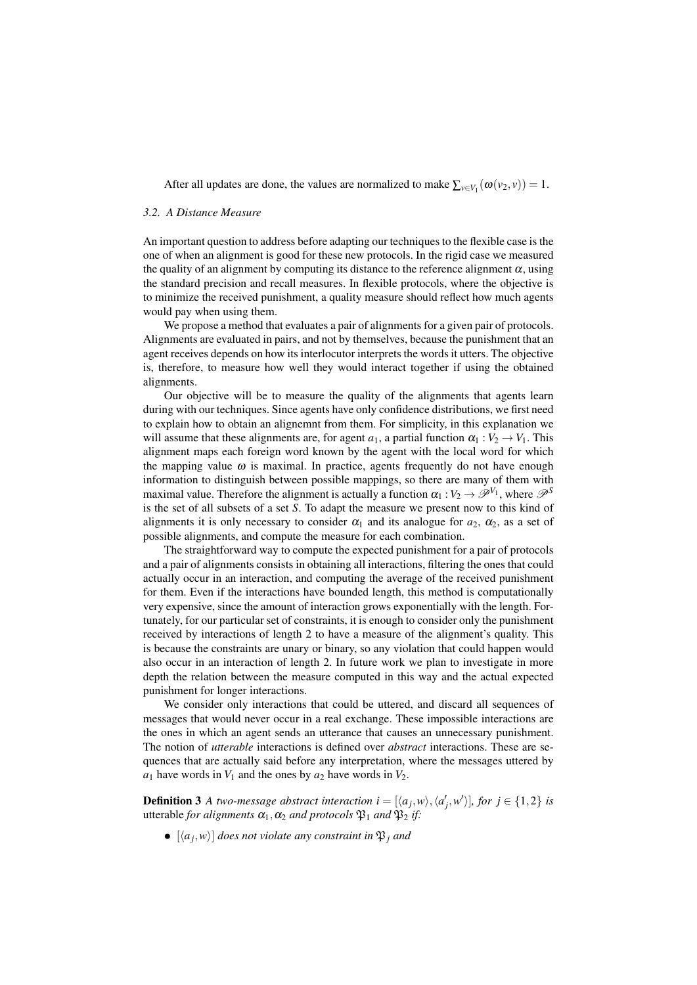After all updates are done, the values are normalized to make  $\sum_{v \in V_1} (\omega(v_2, v)) = 1$ .

#### *3.2. A Distance Measure*

An important question to address before adapting our techniques to the flexible case is the one of when an alignment is good for these new protocols. In the rigid case we measured the quality of an alignment by computing its distance to the reference alignment  $\alpha$ , using the standard precision and recall measures. In flexible protocols, where the objective is to minimize the received punishment, a quality measure should reflect how much agents would pay when using them.

We propose a method that evaluates a pair of alignments for a given pair of protocols. Alignments are evaluated in pairs, and not by themselves, because the punishment that an agent receives depends on how its interlocutor interprets the words it utters. The objective is, therefore, to measure how well they would interact together if using the obtained alignments.

Our objective will be to measure the quality of the alignments that agents learn during with our techniques. Since agents have only confidence distributions, we first need to explain how to obtain an alignemnt from them. For simplicity, in this explanation we will assume that these alignments are, for agent  $a_1$ , a partial function  $\alpha_1 : V_2 \to V_1$ . This alignment maps each foreign word known by the agent with the local word for which the mapping value  $\omega$  is maximal. In practice, agents frequently do not have enough information to distinguish between possible mappings, so there are many of them with maximal value. Therefore the alignment is actually a function  $\alpha_1 : V_2 \to \mathscr{P}^{V_1}$ , where  $\mathscr{P}^S$ is the set of all subsets of a set *S*. To adapt the measure we present now to this kind of alignments it is only necessary to consider  $\alpha_1$  and its analogue for  $a_2$ ,  $\alpha_2$ , as a set of possible alignments, and compute the measure for each combination.

The straightforward way to compute the expected punishment for a pair of protocols and a pair of alignments consists in obtaining all interactions, filtering the ones that could actually occur in an interaction, and computing the average of the received punishment for them. Even if the interactions have bounded length, this method is computationally very expensive, since the amount of interaction grows exponentially with the length. Fortunately, for our particular set of constraints, it is enough to consider only the punishment received by interactions of length 2 to have a measure of the alignment's quality. This is because the constraints are unary or binary, so any violation that could happen would also occur in an interaction of length 2. In future work we plan to investigate in more depth the relation between the measure computed in this way and the actual expected punishment for longer interactions.

We consider only interactions that could be uttered, and discard all sequences of messages that would never occur in a real exchange. These impossible interactions are the ones in which an agent sends an utterance that causes an unnecessary punishment. The notion of *utterable* interactions is defined over *abstract* interactions. These are sequences that are actually said before any interpretation, where the messages uttered by  $a_1$  have words in  $V_1$  and the ones by  $a_2$  have words in  $V_2$ .

**Definition 3** *A two-message abstract interaction i* =  $[\langle a_j, w \rangle, \langle a'_j, w' \rangle]$ *, for j*  $\in$  {1,2} *is* utterable *for alignments*  $\alpha_1, \alpha_2$  *and protocols*  $\mathfrak{P}_1$  *and*  $\mathfrak{P}_2$  *if:* 

 $\bullet$   $[\langle a_j, w \rangle]$  *does not violate any constraint in*  $\mathfrak{P}_j$  *and*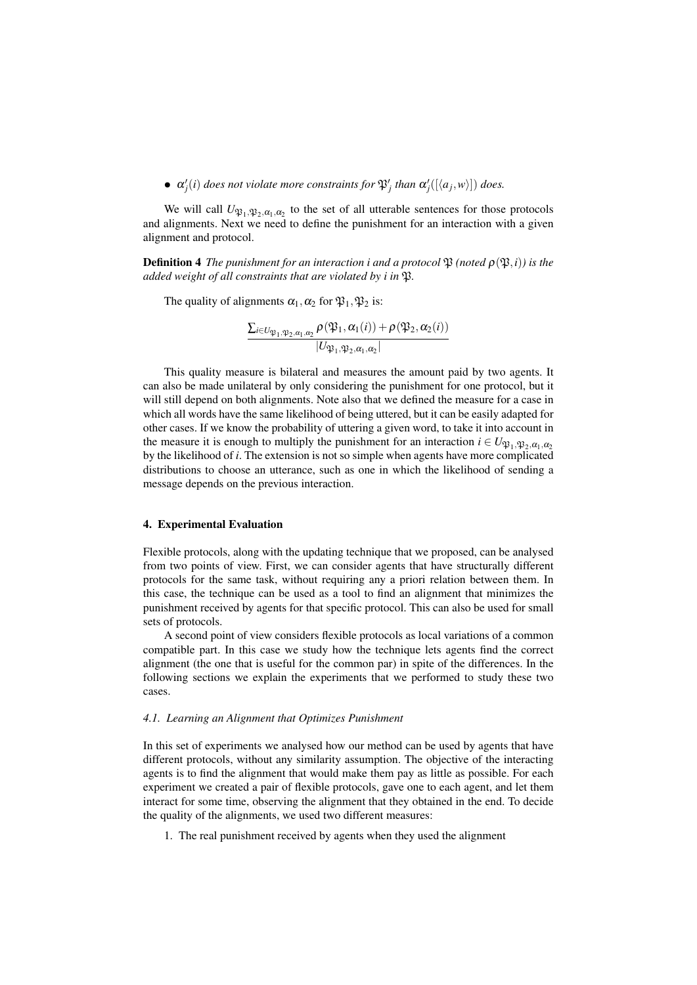•  $\alpha'_{j}(i)$  *does not violate more constraints for*  $\mathfrak{P}'_{j}$  *than*  $\alpha'_{j}([\langle a_{j}, w \rangle])$  *does.* 

We will call  $U_{\mathfrak{P}_1, \mathfrak{P}_2, \alpha_1, \alpha_2}$  to the set of all utterable sentences for those protocols and alignments. Next we need to define the punishment for an interaction with a given alignment and protocol.

**Definition 4** *The punishment for an interaction i and a protocol*  $\mathfrak{P}$  *(noted*  $\rho(\mathfrak{P},i)$ *) is the added weight of all constraints that are violated by i in*  $\mathfrak{B}$ *.* 

The quality of alignments  $\alpha_1, \alpha_2$  for  $\mathfrak{P}_1, \mathfrak{P}_2$  is:

$$
\frac{\sum_{i\in U_{\mathfrak{P}_1,\mathfrak{P}_2,\alpha_1,\alpha_2}}\rho(\mathfrak{P}_1,\alpha_1(i)) + \rho(\mathfrak{P}_2,\alpha_2(i))}{|U_{\mathfrak{P}_1,\mathfrak{P}_2,\alpha_1,\alpha_2}|}
$$

This quality measure is bilateral and measures the amount paid by two agents. It can also be made unilateral by only considering the punishment for one protocol, but it will still depend on both alignments. Note also that we defined the measure for a case in which all words have the same likelihood of being uttered, but it can be easily adapted for other cases. If we know the probability of uttering a given word, to take it into account in the measure it is enough to multiply the punishment for an interaction  $i \in U_{\mathfrak{N}_1, \mathfrak{N}_2, \alpha_1, \alpha_2}$ by the likelihood of *i*. The extension is not so simple when agents have more complicated distributions to choose an utterance, such as one in which the likelihood of sending a message depends on the previous interaction.

#### 4. Experimental Evaluation

Flexible protocols, along with the updating technique that we proposed, can be analysed from two points of view. First, we can consider agents that have structurally different protocols for the same task, without requiring any a priori relation between them. In this case, the technique can be used as a tool to find an alignment that minimizes the punishment received by agents for that specific protocol. This can also be used for small sets of protocols.

A second point of view considers flexible protocols as local variations of a common compatible part. In this case we study how the technique lets agents find the correct alignment (the one that is useful for the common par) in spite of the differences. In the following sections we explain the experiments that we performed to study these two cases.

#### *4.1. Learning an Alignment that Optimizes Punishment*

In this set of experiments we analysed how our method can be used by agents that have different protocols, without any similarity assumption. The objective of the interacting agents is to find the alignment that would make them pay as little as possible. For each experiment we created a pair of flexible protocols, gave one to each agent, and let them interact for some time, observing the alignment that they obtained in the end. To decide the quality of the alignments, we used two different measures:

1. The real punishment received by agents when they used the alignment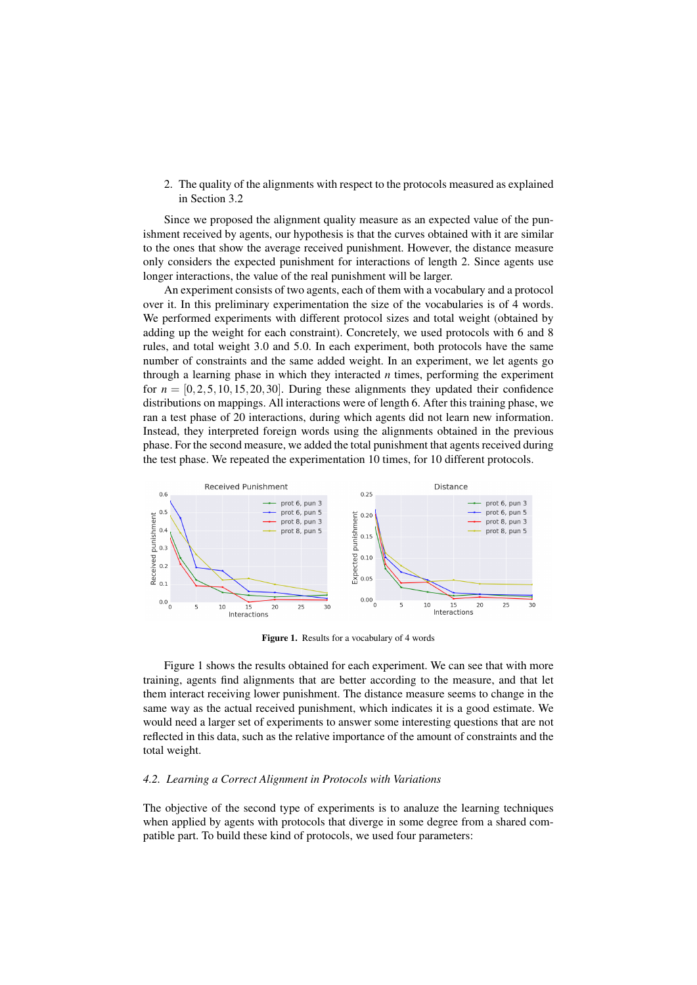2. The quality of the alignments with respect to the protocols measured as explained in Section 3.2

Since we proposed the alignment quality measure as an expected value of the punishment received by agents, our hypothesis is that the curves obtained with it are similar to the ones that show the average received punishment. However, the distance measure only considers the expected punishment for interactions of length 2. Since agents use longer interactions, the value of the real punishment will be larger.

An experiment consists of two agents, each of them with a vocabulary and a protocol over it. In this preliminary experimentation the size of the vocabularies is of 4 words. We performed experiments with different protocol sizes and total weight (obtained by adding up the weight for each constraint). Concretely, we used protocols with 6 and 8 rules, and total weight 3.0 and 5.0. In each experiment, both protocols have the same number of constraints and the same added weight. In an experiment, we let agents go through a learning phase in which they interacted  $n$  times, performing the experiment for  $n = [0, 2, 5, 10, 15, 20, 30]$ . During these alignments they updated their confidence distributions on mappings. All interactions were of length 6. After this training phase, we ran a test phase of 20 interactions, during which agents did not learn new information. Instead, they interpreted foreign words using the alignments obtained in the previous phase. For the second measure, we added the total punishment that agents received during the test phase. We repeated the experimentation 10 times, for 10 different protocols.



Figure 1. Results for a vocabulary of 4 words

Figure 1 shows the results obtained for each experiment. We can see that with more training, agents find alignments that are better according to the measure, and that let them interact receiving lower punishment. The distance measure seems to change in the same way as the actual received punishment, which indicates it is a good estimate. We would need a larger set of experiments to answer some interesting questions that are not reflected in this data, such as the relative importance of the amount of constraints and the total weight.

### *4.2. Learning a Correct Alignment in Protocols with Variations*

The objective of the second type of experiments is to analuze the learning techniques when applied by agents with protocols that diverge in some degree from a shared compatible part. To build these kind of protocols, we used four parameters: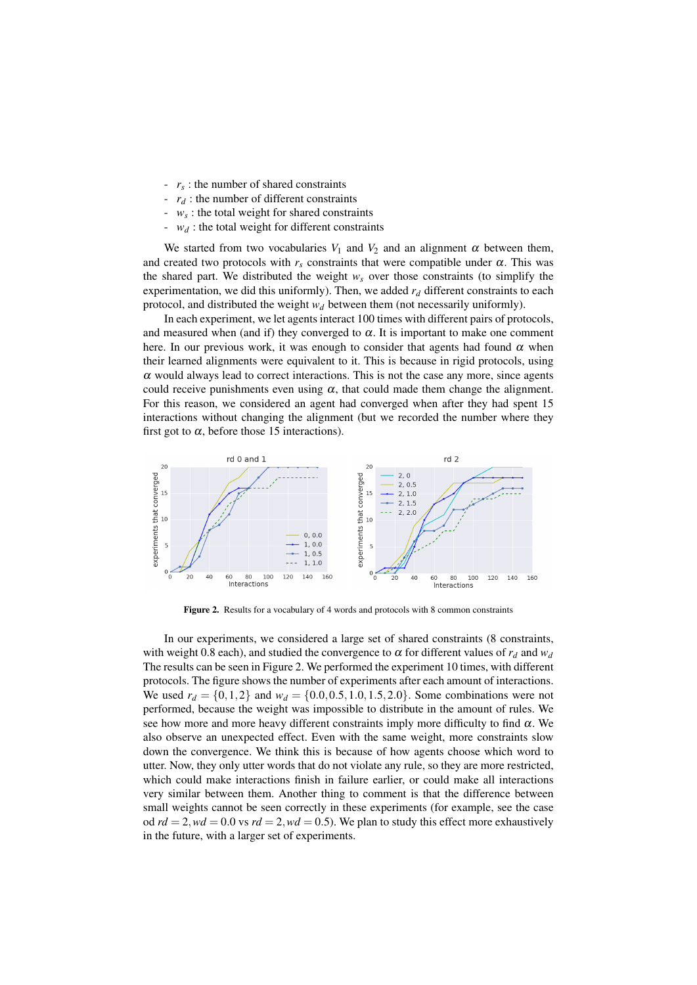- *r<sup>s</sup>* : the number of shared constraints
- *r<sup>d</sup>* : the number of different constraints
- $w_s$ : the total weight for shared constraints
- *w<sup>d</sup>* : the total weight for different constraints

We started from two vocabularies  $V_1$  and  $V_2$  and an alignment  $\alpha$  between them, and created two protocols with  $r_s$  constraints that were compatible under  $\alpha$ . This was the shared part. We distributed the weight  $w_s$  over those constraints (to simplify the experimentation, we did this uniformly). Then, we added  $r<sub>d</sub>$  different constraints to each protocol, and distributed the weight *w<sup>d</sup>* between them (not necessarily uniformly).

In each experiment, we let agents interact 100 times with different pairs of protocols, and measured when (and if) they converged to  $\alpha$ . It is important to make one comment here. In our previous work, it was enough to consider that agents had found  $\alpha$  when their learned alignments were equivalent to it. This is because in rigid protocols, using  $\alpha$  would always lead to correct interactions. This is not the case any more, since agents could receive punishments even using  $\alpha$ , that could made them change the alignment. For this reason, we considered an agent had converged when after they had spent 15 interactions without changing the alignment (but we recorded the number where they first got to  $\alpha$ , before those 15 interactions).



Figure 2. Results for a vocabulary of 4 words and protocols with 8 common constraints

In our experiments, we considered a large set of shared constraints (8 constraints, with weight 0.8 each), and studied the convergence to  $\alpha$  for different values of  $r_d$  and  $w_d$ The results can be seen in Figure 2. We performed the experiment 10 times, with different protocols. The figure shows the number of experiments after each amount of interactions. We used  $r_d = \{0, 1, 2\}$  and  $w_d = \{0.0, 0.5, 1.0, 1.5, 2.0\}$ . Some combinations were not performed, because the weight was impossible to distribute in the amount of rules. We see how more and more heavy different constraints imply more difficulty to find  $\alpha$ . We also observe an unexpected effect. Even with the same weight, more constraints slow down the convergence. We think this is because of how agents choose which word to utter. Now, they only utter words that do not violate any rule, so they are more restricted, which could make interactions finish in failure earlier, or could make all interactions very similar between them. Another thing to comment is that the difference between small weights cannot be seen correctly in these experiments (for example, see the case od  $rd = 2$ ,  $wd = 0.0$  vs  $rd = 2$ ,  $wd = 0.5$ ). We plan to study this effect more exhaustively in the future, with a larger set of experiments.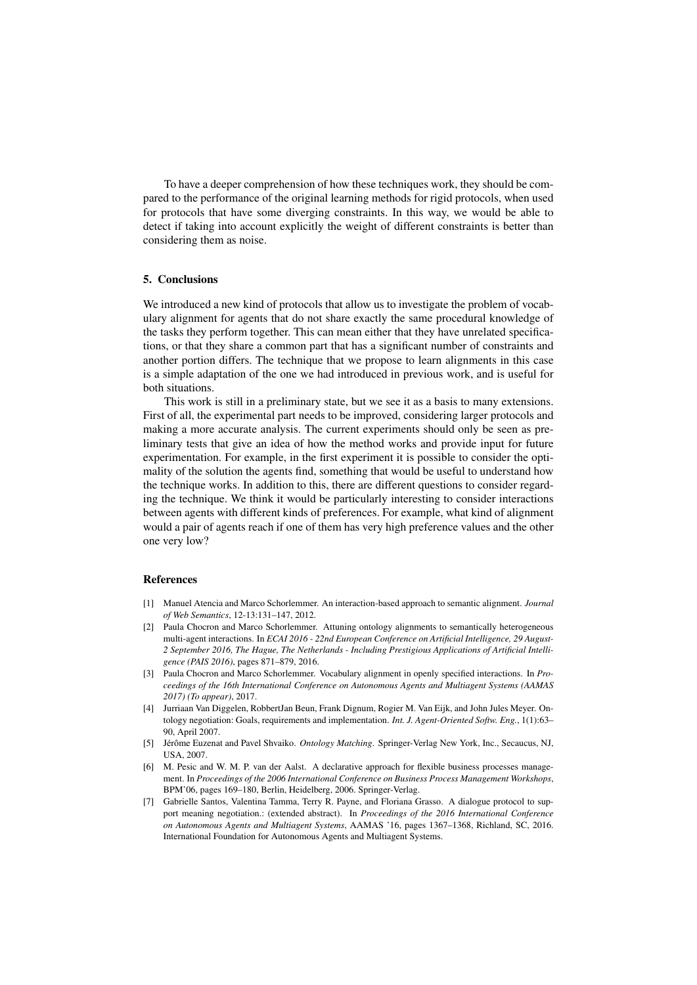To have a deeper comprehension of how these techniques work, they should be compared to the performance of the original learning methods for rigid protocols, when used for protocols that have some diverging constraints. In this way, we would be able to detect if taking into account explicitly the weight of different constraints is better than considering them as noise.

### 5. Conclusions

We introduced a new kind of protocols that allow us to investigate the problem of vocabulary alignment for agents that do not share exactly the same procedural knowledge of the tasks they perform together. This can mean either that they have unrelated specifications, or that they share a common part that has a significant number of constraints and another portion differs. The technique that we propose to learn alignments in this case is a simple adaptation of the one we had introduced in previous work, and is useful for both situations.

This work is still in a preliminary state, but we see it as a basis to many extensions. First of all, the experimental part needs to be improved, considering larger protocols and making a more accurate analysis. The current experiments should only be seen as preliminary tests that give an idea of how the method works and provide input for future experimentation. For example, in the first experiment it is possible to consider the optimality of the solution the agents find, something that would be useful to understand how the technique works. In addition to this, there are different questions to consider regarding the technique. We think it would be particularly interesting to consider interactions between agents with different kinds of preferences. For example, what kind of alignment would a pair of agents reach if one of them has very high preference values and the other one very low?

### References

- [1] Manuel Atencia and Marco Schorlemmer. An interaction-based approach to semantic alignment. *Journal of Web Semantics*, 12-13:131–147, 2012.
- [2] Paula Chocron and Marco Schorlemmer. Attuning ontology alignments to semantically heterogeneous multi-agent interactions. In *ECAI 2016 - 22nd European Conference on Artificial Intelligence, 29 August-2 September 2016, The Hague, The Netherlands - Including Prestigious Applications of Artificial Intelligence (PAIS 2016)*, pages 871–879, 2016.
- [3] Paula Chocron and Marco Schorlemmer. Vocabulary alignment in openly specified interactions. In *Proceedings of the 16th International Conference on Autonomous Agents and Multiagent Systems (AAMAS 2017) (To appear)*, 2017.
- [4] Jurriaan Van Diggelen, RobbertJan Beun, Frank Dignum, Rogier M. Van Eijk, and John Jules Meyer. Ontology negotiation: Goals, requirements and implementation. *Int. J. Agent-Oriented Softw. Eng.*, 1(1):63– 90, April 2007.
- [5] Jérôme Euzenat and Pavel Shvaiko. Ontology Matching. Springer-Verlag New York, Inc., Secaucus, NJ, USA, 2007.
- [6] M. Pesic and W. M. P. van der Aalst. A declarative approach for flexible business processes management. In *Proceedings of the 2006 International Conference on Business Process Management Workshops*, BPM'06, pages 169–180, Berlin, Heidelberg, 2006. Springer-Verlag.
- [7] Gabrielle Santos, Valentina Tamma, Terry R. Payne, and Floriana Grasso. A dialogue protocol to support meaning negotiation.: (extended abstract). In *Proceedings of the 2016 International Conference on Autonomous Agents and Multiagent Systems*, AAMAS '16, pages 1367–1368, Richland, SC, 2016. International Foundation for Autonomous Agents and Multiagent Systems.